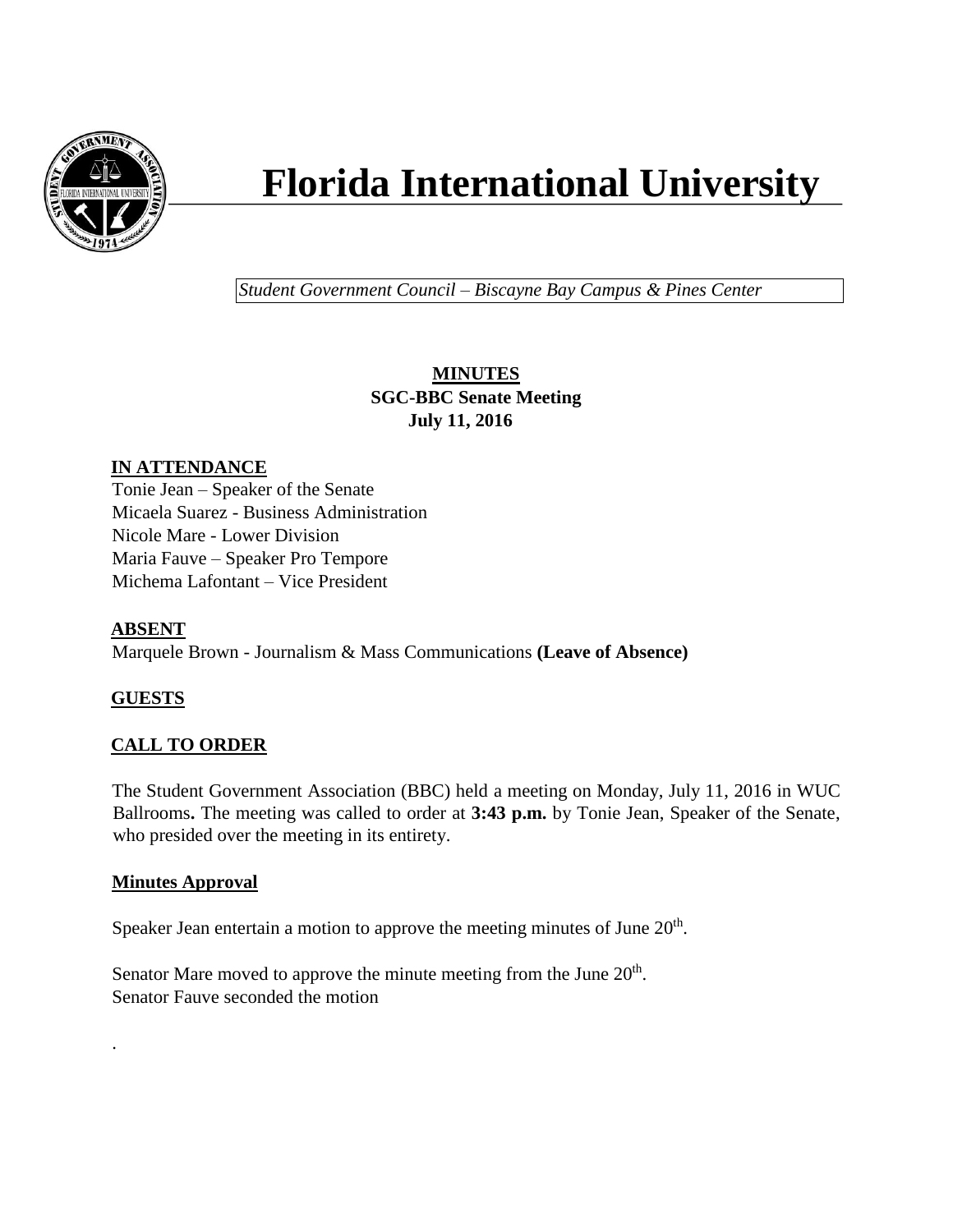

# **Florida International University**

*Student Government Council – Biscayne Bay Campus & Pines Center*

# **MINUTES SGC-BBC Senate Meeting July 11, 2016**

# **IN ATTENDANCE**

Tonie Jean – Speaker of the Senate Micaela Suarez - Business Administration Nicole Mare - Lower Division Maria Fauve – Speaker Pro Tempore Michema Lafontant – Vice President

# **ABSENT**

Marquele Brown - Journalism & Mass Communications **(Leave of Absence)**

# **GUESTS**

.

# **CALL TO ORDER**

The Student Government Association (BBC) held a meeting on Monday, July 11, 2016 in WUC Ballrooms**.** The meeting was called to order at **3:43 p.m.** by Tonie Jean, Speaker of the Senate, who presided over the meeting in its entirety.

#### **Minutes Approval**

Speaker Jean entertain a motion to approve the meeting minutes of June  $20<sup>th</sup>$ .

Senator Mare moved to approve the minute meeting from the June  $20<sup>th</sup>$ . Senator Fauve seconded the motion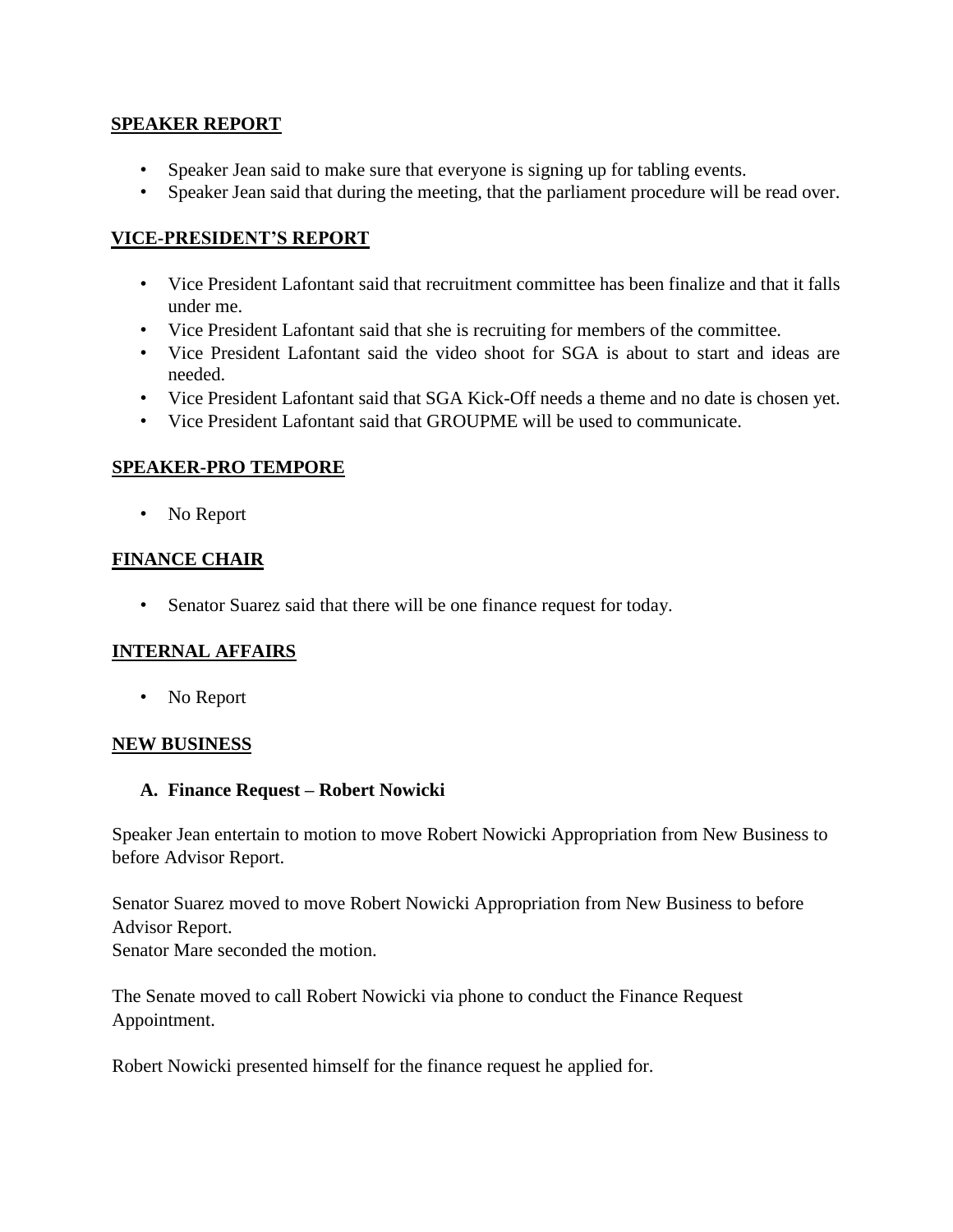#### **SPEAKER REPORT**

- Speaker Jean said to make sure that everyone is signing up for tabling events.
- Speaker Jean said that during the meeting, that the parliament procedure will be read over.

### **VICE-PRESIDENT'S REPORT**

- Vice President Lafontant said that recruitment committee has been finalize and that it falls under me.
- Vice President Lafontant said that she is recruiting for members of the committee.
- Vice President Lafontant said the video shoot for SGA is about to start and ideas are needed.
- Vice President Lafontant said that SGA Kick-Off needs a theme and no date is chosen yet.
- Vice President Lafontant said that GROUPME will be used to communicate.

## **SPEAKER-PRO TEMPORE**

• No Report

## **FINANCE CHAIR**

• Senator Suarez said that there will be one finance request for today.

#### **INTERNAL AFFAIRS**

• No Report

#### **NEW BUSINESS**

#### **A. Finance Request – Robert Nowicki**

Speaker Jean entertain to motion to move Robert Nowicki Appropriation from New Business to before Advisor Report.

Senator Suarez moved to move Robert Nowicki Appropriation from New Business to before Advisor Report. Senator Mare seconded the motion.

The Senate moved to call Robert Nowicki via phone to conduct the Finance Request Appointment.

Robert Nowicki presented himself for the finance request he applied for.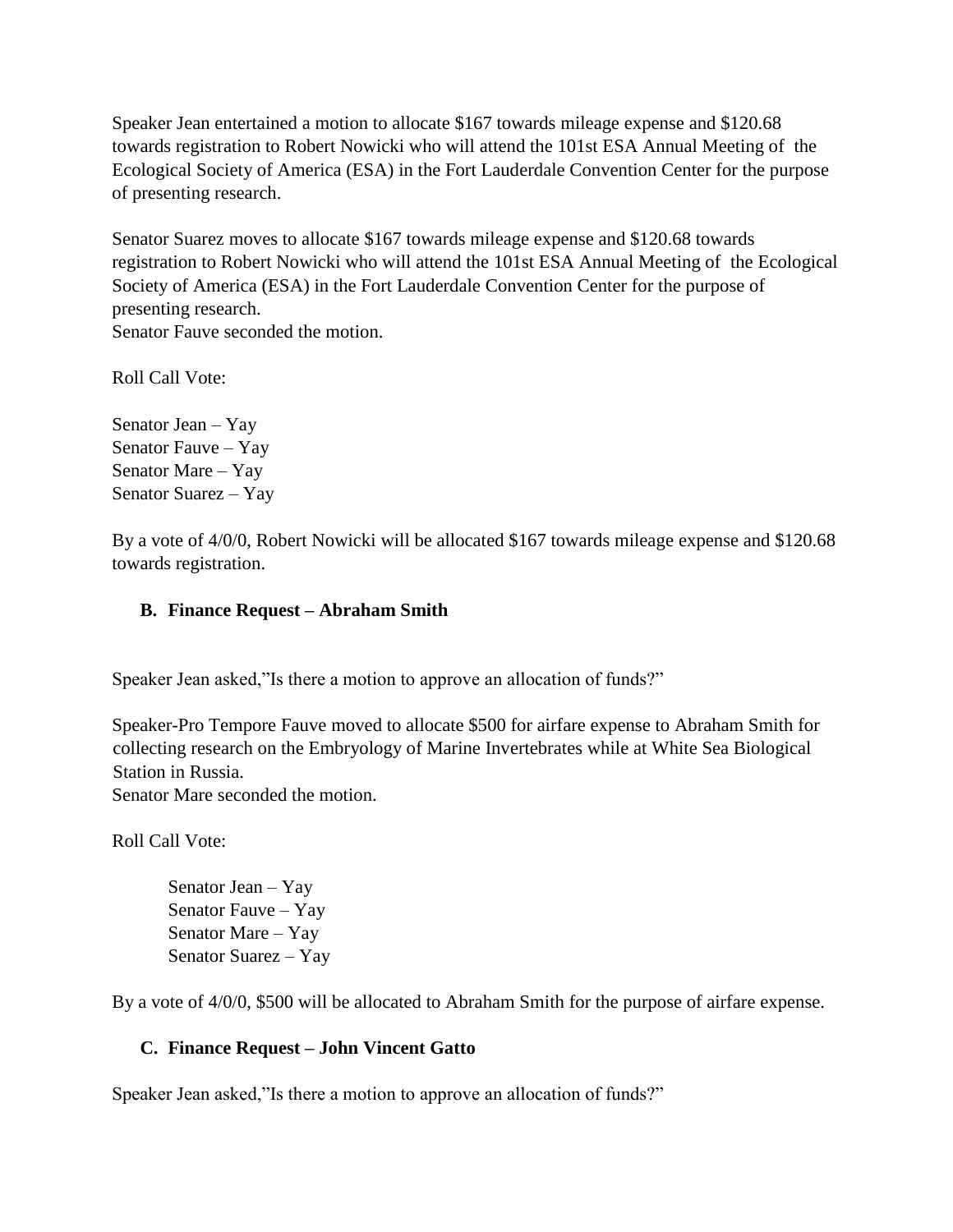Speaker Jean entertained a motion to allocate \$167 towards mileage expense and \$120.68 towards registration to Robert Nowicki who will attend the 101st ESA Annual Meeting of the Ecological Society of America (ESA) in the Fort Lauderdale Convention Center for the purpose of presenting research.

Senator Suarez moves to allocate \$167 towards mileage expense and \$120.68 towards registration to Robert Nowicki who will attend the 101st ESA Annual Meeting of the Ecological Society of America (ESA) in the Fort Lauderdale Convention Center for the purpose of presenting research. Senator Fauve seconded the motion.

Roll Call Vote:

Senator Jean – Yay Senator Fauve – Yay Senator Mare – Yay Senator Suarez – Yay

By a vote of 4/0/0, Robert Nowicki will be allocated \$167 towards mileage expense and \$120.68 towards registration.

#### **B. Finance Request – Abraham Smith**

Speaker Jean asked,"Is there a motion to approve an allocation of funds?"

Speaker-Pro Tempore Fauve moved to allocate \$500 for airfare expense to Abraham Smith for collecting research on the Embryology of Marine Invertebrates while at White Sea Biological Station in Russia.

Senator Mare seconded the motion.

Roll Call Vote:

Senator Jean – Yay Senator Fauve – Yay Senator Mare – Yay Senator Suarez – Yay

By a vote of 4/0/0, \$500 will be allocated to Abraham Smith for the purpose of airfare expense.

#### **C. Finance Request – John Vincent Gatto**

Speaker Jean asked,"Is there a motion to approve an allocation of funds?"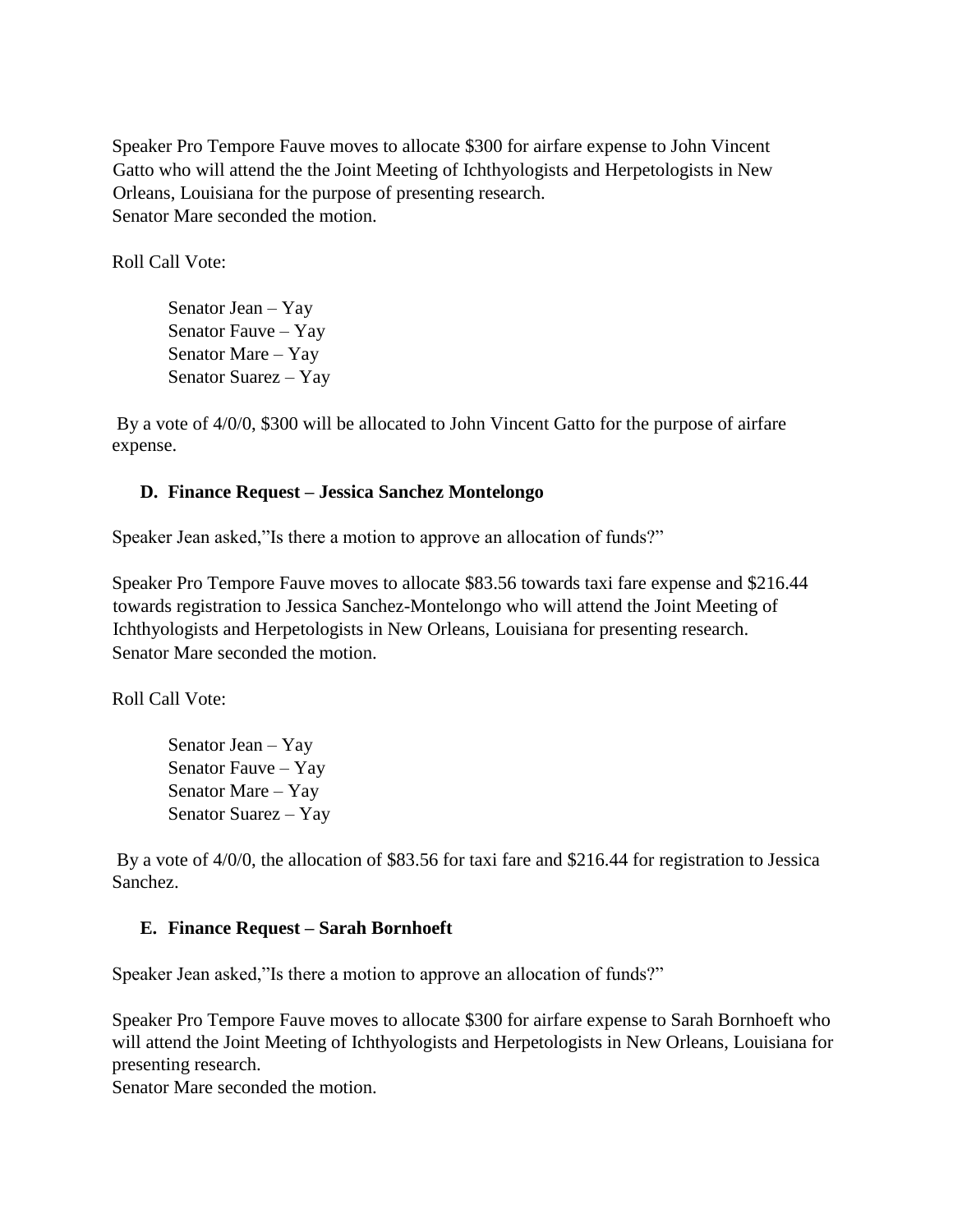Speaker Pro Tempore Fauve moves to allocate \$300 for airfare expense to John Vincent Gatto who will attend the the Joint Meeting of Ichthyologists and Herpetologists in New Orleans, Louisiana for the purpose of presenting research. Senator Mare seconded the motion.

Roll Call Vote:

Senator Jean – Yay Senator Fauve – Yay Senator Mare – Yay Senator Suarez – Yay

By a vote of 4/0/0, \$300 will be allocated to John Vincent Gatto for the purpose of airfare expense.

#### **D. Finance Request – Jessica Sanchez Montelongo**

Speaker Jean asked,"Is there a motion to approve an allocation of funds?"

Speaker Pro Tempore Fauve moves to allocate \$83.56 towards taxi fare expense and \$216.44 towards registration to Jessica Sanchez-Montelongo who will attend the Joint Meeting of Ichthyologists and Herpetologists in New Orleans, Louisiana for presenting research. Senator Mare seconded the motion.

Roll Call Vote:

Senator Jean – Yay Senator Fauve – Yay Senator Mare – Yay Senator Suarez – Yay

By a vote of 4/0/0, the allocation of \$83.56 for taxi fare and \$216.44 for registration to Jessica Sanchez.

#### **E. Finance Request – Sarah Bornhoeft**

Speaker Jean asked,"Is there a motion to approve an allocation of funds?"

Speaker Pro Tempore Fauve moves to allocate \$300 for airfare expense to Sarah Bornhoeft who will attend the Joint Meeting of Ichthyologists and Herpetologists in New Orleans, Louisiana for presenting research.

Senator Mare seconded the motion.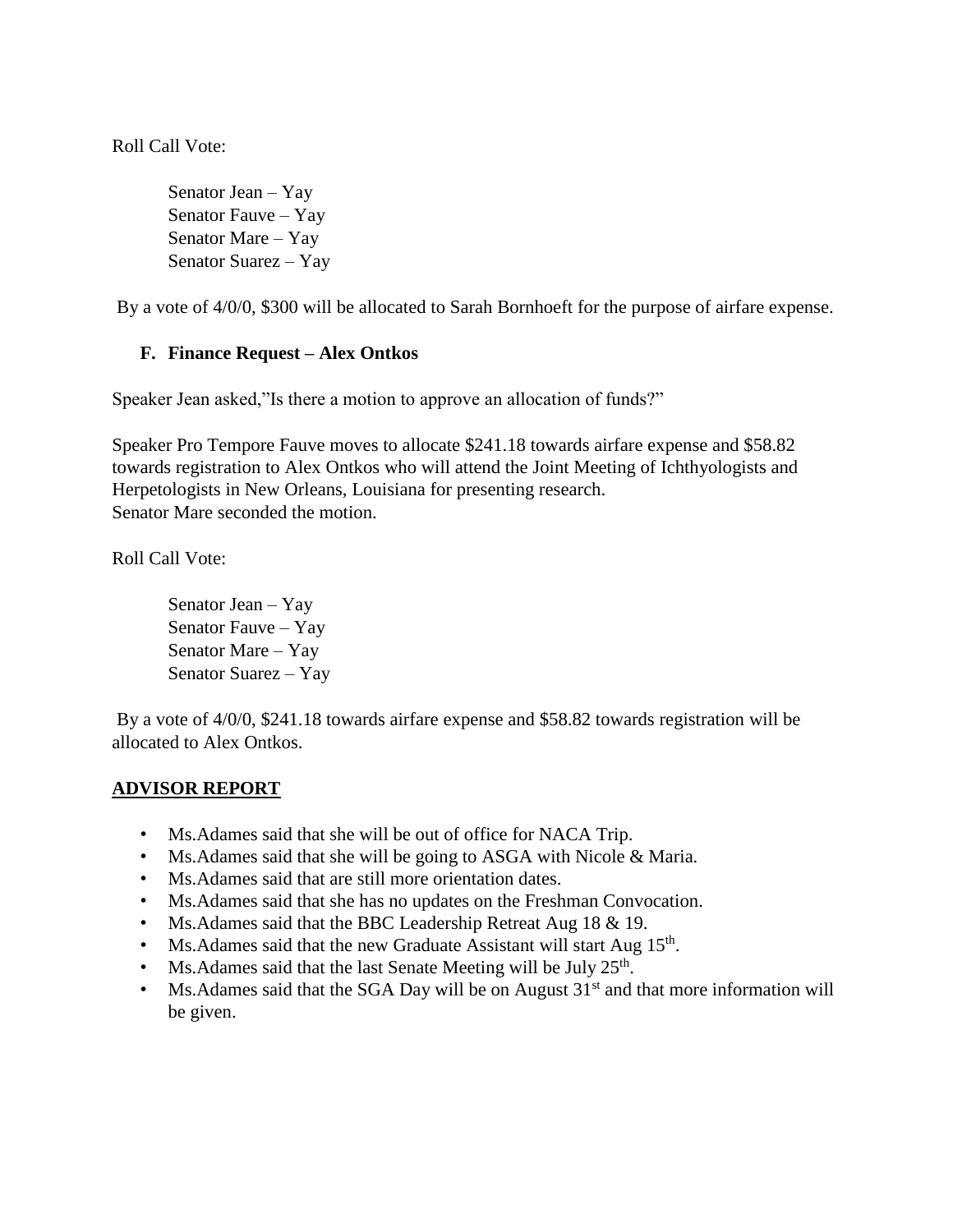Roll Call Vote:

Senator Jean – Yay Senator Fauve – Yay Senator Mare – Yay Senator Suarez – Yay

By a vote of 4/0/0, \$300 will be allocated to Sarah Bornhoeft for the purpose of airfare expense.

#### **F. Finance Request – Alex Ontkos**

Speaker Jean asked,"Is there a motion to approve an allocation of funds?"

Speaker Pro Tempore Fauve moves to allocate \$241.18 towards airfare expense and \$58.82 towards registration to Alex Ontkos who will attend the Joint Meeting of Ichthyologists and Herpetologists in New Orleans, Louisiana for presenting research. Senator Mare seconded the motion.

Roll Call Vote:

Senator Jean – Yay Senator Fauve – Yay Senator Mare – Yay Senator Suarez – Yay

By a vote of 4/0/0, \$241.18 towards airfare expense and \$58.82 towards registration will be allocated to Alex Ontkos.

#### **ADVISOR REPORT**

- Ms.Adames said that she will be out of office for NACA Trip.
- Ms. Adames said that she will be going to ASGA with Nicole & Maria.
- Ms.Adames said that are still more orientation dates.
- Ms.Adames said that she has no updates on the Freshman Convocation.
- Ms.Adames said that the BBC Leadership Retreat Aug 18 & 19.
- Ms. Adames said that the new Graduate Assistant will start Aug  $15<sup>th</sup>$ .
- Ms. Adames said that the last Senate Meeting will be July 25<sup>th</sup>.
- Ms. Adames said that the SGA Day will be on August  $31<sup>st</sup>$  and that more information will be given.